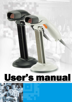# <u>User's manual</u>

in 11

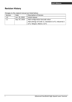#### **Revision History**

| Version | Date          | Description of Version                                 |
|---------|---------------|--------------------------------------------------------|
| 1.0     | Jun. 25, 2010 | Initial release                                        |
| 1.1     | Sep. 07, 2010 | Add configuration barcode value.                       |
|         |               | Add settings of Code 11, Standard 2 of 5, Industrial 2 |
|         |               | of 5, Telepen, Matrix 2 of 5.                          |

Changes to the original manual are listed below: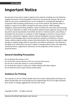# <span id="page-3-0"></span>**Important Notice**

No warranty of any kind is made in regard to this material, including, but not limited to, implied warranties of merchantability or fitness for any particular purpose. We are not liable for any errors contained herein nor for incidental or consequential damages in connection with furnishing, performance or use of this material. We shall be under no liability in respect of any defect arising from fair wear and tear, willful damage, negligence, abnormal working conditions, failure to follow the instructions and warnings, or misuse or alteration or repair of the products without written approval. No part of this document may be reproduced, transmitted, stored in a retrieval system, transcribed, or translated into any human or computer or other language in any form or by any means electronic, mechanical, magnetic, optical, chemical, biological, manual or otherwise, except for brief passages which may be quoted for purposes of scholastic or literary review, without express written consent and authorization. We reserve the right to make changes in product design without reservation and without notification. The material in this guide is for information only and is subject to change without notice. All trademarks mentioned herein, registered or otherwise, are the properties of their various, ill, assorted owners.

#### **General Handling Precautions**

Do not dispose the scanner in fire. Do not put the scanner directly in the sun or by any heat source. Do not use or store the scanner in a very humid place. Do not drop the scanner or allow it to collide violently with other objects. Do not take the scanner apart without authorization

#### **Guidance for Printing**

This manual is in A5 size. Please double check your printer setting before printing it out. When the barcodes are to be printed out for programming, the use of a high-resolution laser printer is strongly suggested for the best scan result.

Copyright © 2010. All rights reserved.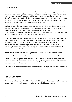#### **Laser Safety**

This equipment generates, uses, and can radiate radio frequency energy. If not installed and used in accordance with the instructions in this manual, it may cause interference to radio communications. The equipment has been tested and found to comply with the limits for a Class A computing device pursuant to EN55022 and 47 CFR, Part 2 and Part 15 of FCC Rules. These specifications are designed to provide reasonable protection against interference when operated in a commercial environment.

**Radiant Energy**: The laser scanner uses one low‐power visible laser diodes operating at 650nm in an opto‐mechanical scanner resulting in less than 3.9μW radiated power as observed through a 7mm aperture and averaged over 10 seconds. Do not attempt to remove the protective housing of the scanner, as unscanned laser light with a peak output up to 0.8mW would be accessible inside.

**Laser Light Viewing**: The scan window is the only aperture through which laser light may be observed from this product. A failure of the scanner engine, while the laser diode continues to emit a laser beam, may cause emission levels to exceed those for safe operation. The scanner has safeguards to prevent this occurrence. If, however, a stationary laser beam is emitted, the failing scanner should be disconnected from its power source immediately.

**Adjustments**: Do not attempt any adjustments or alteration of this product. Do not remove the protective housing of the scanner. There are no user‐serviceable parts inside.

**Optical**: The use of optical instruments with this product will increase the eye hazard. Optical instruments include binoculars, magnifying glasses, and microscopes but do not include normal eye glasses worn by the user.

**CAUTION**: Use of controls or adjustments or performance of procedures other than those specified herein may result in hazardous radiation exposure.

#### **For CE‐Countries**

This scanner is in conformity with CE standards. Please note that an approved, CE‐marked power supply unit should be used in order to maintain CE conformance.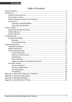#### **Table of Contents**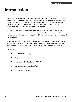# <span id="page-6-0"></span>**Introduction**

This scanner is a newly released handheld single‐line laser scanner with a cutting‐edge scan engine. It utilizes the omnidirectional technology to transform seven laser lines into one and performs a superb scanning speed at 500 scans per second. The built‐in hardware decoding technology and 32-bit MPU guarantees real-time scanning and accuracy, ensuring an unbeatable first read success rate.

The scanner comes with a stand of small footprint to save counter space. Its LED and beeper indicate scanning status and are programmable to cater to the users' own preference. Its replaceable communication cable further increases its convenience and flexibility in use.

Streamlined and light-weighed, this handy device reads most 1D barcode types, GS1 DataBar and PDF417. It is the reliable business tool to enhance work efficiency at a competitive cost, the best solution for retail, office or warehouse environments.

Key Features:

- Superb scanning ability
- Proprietary hardware decoding technology
- Able to read GS1 DataBar and PDF417
- Rugged and ergonomic form factor
- Flexible communications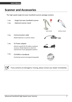## <span id="page-7-0"></span>**Scanner and Accessories**

The high-speed single line laser handheld scanner package contains:

- 1 ea. ‐ Single‐line laser handheld scanner
- 1 ea. ‐ Optional scanner stand





(with stand) (without stand)

1 ea. Communication cable (Model depends on customer needs.)



1 ea. 5V Power adapter

(Only for specific RS‐232 cables as optional accessory. Model depends on electrical requirements of your geographic location)

1 ea. CD‐ROM or handbook (Containing manual and programming guide)







If any contents are damaged or missing, please contact your dealer immediately.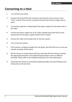## <span id="page-8-0"></span>**Connecting to a Host**

- 1. Turn off the host system.
- 2. Connect the 10-pin RJ45 male connector into the jack on the scanner until a "click" is heard. If the scanner is powered directly from the host supply, skip to step 5.
- 3. If necessary, plug the L‐shaped plug of the power supply into the power jack on the cable.
- 4. Connect the power supply into an AC outlet. (Double check that the AC input requirement of the power supply matches the AC outlet.)
- 5. Connect the cable to the proper port on the host system.
- 6. Turn on the host system.
- 7. If the scanner is properly installed, the red, green, blue LED will turn on once and 3 power‐up beeps will be heard.
- 8. Set the scanner to communicate with your particular POS terminal by scanning the appropriate barcodes. The programming procedure varies on different terminals. Please refer to the Programming section for more information.
- 9. Verify that the scanner is successfully reading barcodes and transmitting correct information to the terminal.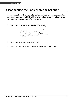## <span id="page-9-0"></span>**Disconnecting the Cable from the Scanner**

The communication cable is designed to be field‐replaceable. Prior to removing the cable from the scanner, it is highly advised to turn off the power of the host system and disconnect the power supply from the cable.

1. Locate the small hole at the bottom of the scanner.



- 2. Use a metallic pin and insert into the hole.
- 3. Gently pull the strain‐relief of the cable once a faint "click" is heard.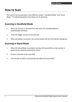## <span id="page-10-0"></span>**How to Scan**

The scanner can be operated in two different modes: "Handheld Mode" and "Stand Mode." The following explains how these can be achieved.

#### <span id="page-10-1"></span>**Scanning in Handheld Mode**

- 1. When the scanner is removed from the stand, the Handheld Mode is automatically activated.
- 2. Press the trigger and aim at the barcode.
- 3. When decoding is successful, the scanner beeps and the LED indicate blue/green.

#### <span id="page-10-2"></span>**Scanning in Stand Mode**

- 1. When the Stand Mode is activated, the blue LED would blink as the scanner is placed on the optional presentation stand.
- 2. Present a barcode in the scan field.
- 3. The barcode would be automatically decoded and transmitted.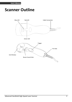## <span id="page-11-0"></span>**Scanner Outline**

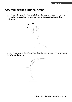## <span id="page-12-0"></span>**Assembling the Optional Stand**

The optional self-supporting stand is to facilitate the usage of your scanner. It moves freely and can be placed anywhere on countertops. It can be tilted to a maximum of 60 degrees.



To attach the scanner to the optional stand, hook the scanner on the two holes located at the front of the stand.

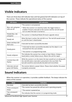## <span id="page-13-0"></span>**Visible Indicators**

There are three blue LED indicator bars and two green/red LED indicators on top of the scanner. These indicate the operational status of the scanner.

| <b>LED Status</b>                      | <b>LED Indication</b>                                                                                                                                                                                |  |
|----------------------------------------|------------------------------------------------------------------------------------------------------------------------------------------------------------------------------------------------------|--|
|                                        | *The scanner is not powered.                                                                                                                                                                         |  |
| Blue, red, and green<br>LEDs are off   | * When the scanner is in stand-by mode, the trigger button is<br>enabled. Present a barcode to the scanner and the red LED would<br>turn on when the laser is turned on.                             |  |
| Steady blue, red,<br>and green         | The scanner is in Bootload Mode (firmware upgrade status)                                                                                                                                            |  |
| Steady red                             | When the laser is active, the red LED is on. The red LED would remain<br>on until the laser is deactivated.                                                                                          |  |
| Green and blue LED<br>flash once       | A barcode has been successfully decoded.                                                                                                                                                             |  |
| Steady green                           | * A barcode has been successfully decoded, but the object is not<br>removed from the scan window.                                                                                                    |  |
|                                        | * The scanner is in programming mode.                                                                                                                                                                |  |
| Steady red/green                       | This indicates the scanner has a motor or laser failure. A beep is<br>heard when a motor failure occurs. Return the unit for repair.                                                                 |  |
| Constant blue LED<br>flashes           | While the scanner is on the stand, the laser would turn on (along with<br>the red LED) when a barcode is presented in the scan field. The<br>barcode would be automatically decoded and transmitted. |  |
| Alternate red and<br>green LED flashes | The scanner detects a power failure. Please check whether the power<br>is properly connected.                                                                                                        |  |

## <span id="page-13-1"></span>**Sound Indicators**

When the scanner is in operation, it provides audible feedback. The beeps indicate the status of the scanner.

| <b>Beep</b>               | <b>Indication</b>                                                |  |
|---------------------------|------------------------------------------------------------------|--|
| One beep                  | A barcode has been successfully decoded.                         |  |
| Three consequent<br>beeps | *The scanner has passed the self-test and is operating properly. |  |
|                           | * The scanner is powered up.                                     |  |
| Two consequent<br>beep    | This indicates that the scanner is in programming mode.          |  |

Advanced Handheld High‐Speed Laser Scanner 8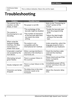Continuous beep tone

This is a failure indication. Return the unit for repair.

# <span id="page-14-0"></span>**Troubleshooting**

| Problem                                                                                          | <b>Possible Cause</b>                                                                                                                              | <b>Solution</b>                                                                                                           |
|--------------------------------------------------------------------------------------------------|----------------------------------------------------------------------------------------------------------------------------------------------------|---------------------------------------------------------------------------------------------------------------------------|
| The scanner has no<br>reaction; no LED,<br>beeps, or laser                                       | The power is not ON                                                                                                                                | Refer to the "Connecting to<br>a Host" section of the<br>manual                                                           |
| The scanner is<br>functioning but is not<br>decoding.                                            | *The symbology of the<br>barcode might be disabled.<br>*The number of characters<br>of the barcode label does<br>not match the initial<br>setting. | *Enable the barcode type<br>from the programming<br>guide.<br>*Adjust the label length<br>setting of the barcode<br>type. |
| When using the<br>keyboard wedge<br>interface, the data<br>transmission is<br>slower than usual. | The system is not<br>compatible with the<br>international ALT method.                                                                              | Under properties, select the<br>language property that is<br>suitable for your keyboard.                                  |
| A barcode is read but<br>not accepted by the<br>host device.                                     | Either a wrong interface is<br>selected or the interface is<br>incorrectly set.                                                                    | Check the interface cable<br>used and the interface<br>settings.                                                          |
| Alternating red and<br>green flashes                                                             | There is a power failure in<br>this scanner.                                                                                                       | Please check and see if the<br>power is properly<br>connected.                                                            |
| Steady red/green LED                                                                             | There is a laser failure in the<br>scanner.                                                                                                        | Immediately power off the<br>scanner and return the unit<br>for repair.                                                   |
| Characters are being<br>dropped.                                                                 | The delay time in the inter-<br>character needs to be<br>increased.                                                                                | Adjust the character delay<br>time.                                                                                       |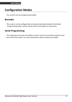## <span id="page-15-0"></span>**Configuration Modes**

This scanner has two programming modes.

#### <span id="page-15-1"></span>**Barcodes**

This scanner can be configured by scanning the barcodes located in the below "Programming Guide" section. Please refer to this guide for instructions.

#### <span id="page-15-2"></span>**Serial Programming**

This mode gives end‐users the ability to send a series of commands using the serial port of the host system. For more information, please contact your dealer.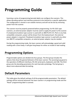# <span id="page-16-0"></span>**Programming Guide**

Scanning a series of programming barcode labels can configure the scanners. This allows decoding options and interface protocols to be tailored to a specific application. The configuration is stored in non‐volatile memory and will not be lost by removing power from the scanner.

The scanner must be properly powered before programming. For RS‐232C type scanners, an external power adapter must be used to supply DC power to the scanner. If a keyboard emulation type scanner is used with an IBM PC/XT/ AT, PS/2 or any fully compatible computers, power will be drawn from the keyboard port. No external power adapter is required. If keyboard emulation type scanner is used with any other non IBM PC compatible computers, an external power adapter may be needed.

During the programming mode, the laser scanner will acknowledge a good and valid reading with a short beep. It will give long beeps for either an invalid or bad reading.

## <span id="page-16-1"></span>**Programming Options**

Programmable options are divided into four groups. The first group includes the options that show the general behavior of the laser scanner. The second group governs the operation of different interfaces, RS‐232 serial ports, keyboard, and USB. The third group sets the decoding parameters for each barcode symbology. The last group is about more advanced data formatting.

## <span id="page-16-2"></span>**Default Parameters**

This table gives the default settings of all the programmable parameters. The default settings will be restored whenever the laser scanner is in programming mode and the "Reset" programming label is scanned.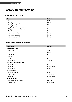## <span id="page-17-0"></span>**Factory Default Setting**

## <span id="page-17-1"></span>**Scanner Operation**

| <b>Parameter</b>                  | <b>Default</b>     |
|-----------------------------------|--------------------|
| Same code delay                   | 500msec            |
| Beeping frequency                 | Medium             |
| Beeping duration                  | 50 <sub>msec</sub> |
| LED/Beep before data transmission | On                 |
| Trigger mode (handheld mode)      | Enable             |
| Stand mode                        | Enable             |
| <b>Header and trailer</b>         | None               |
| Inter message delay               | None               |
| Inter character delay             | None               |

#### <span id="page-17-2"></span>**Interface Communication**

| <b>Parameter</b>                | <b>Default</b>        |
|---------------------------------|-----------------------|
| <b>RS-232 Interface</b>         |                       |
| Baud rate                       | 9600                  |
| Parity                          | none                  |
| Data Bits                       | 8                     |
| Stop Bit                        | 1                     |
| RTS/CTS                         | off                   |
| Terminator                      | $<$ CR $>$ $<$ LF $>$ |
| <b>Keyboard Wedge Interface</b> |                       |
| <b>Terminal Type</b>            | PC/AT                 |
| Keyboard                        | US keyboard           |
| Terminator                      | Enter                 |
| <b>USB Interface</b>            |                       |
| Terminator type                 | Enter                 |
| Code mode                       | Scan code             |
| Keyboard                        | US keyboard           |
| <b>Wand Emulation</b>           |                       |
| Wand emulation speed            | Normal                |
| Data output                     | Black=high            |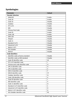## <span id="page-18-0"></span>**Symbologies**

| <b>Parameter</b>                    | <b>Default</b> |
|-------------------------------------|----------------|
| <b>Decoder Selection</b>            |                |
| EAN/UPC                             | Enable         |
| Code 39                             | Enable         |
| Code 32                             | Disable        |
| Codabar                             | Disable        |
| ITF 2 of 5                          | Enable         |
| <b>MSI</b>                          | Disable        |
| <b>Chinese Post Code</b>            | Disable        |
| Code 93                             | Enable         |
| Code 128                            | Enable         |
| <b>EAN-128</b>                      | Disable        |
| Telepen                             | Disable        |
| Code 11                             | Disable        |
| Standard 2 of 5                     | Disable        |
| Industrial 2 of 5                   | Disable        |
| Matrix 2 of 5                       | Disable        |
| GS1 DataBar                         | <b>Disable</b> |
| <b>PDF417</b>                       | <b>Disable</b> |
| <b>Code Identifiers</b>             |                |
| Identifier code as factory standard | <b>Disable</b> |
| Identifier code as AIM standard     | <b>Disable</b> |
| Code 39 identifier code             | M              |
| ITF 2 of 5 identifier code          | L              |
| Chinese post code identifier code   | н              |
| UPC-A identifier code               | А              |
| UPC-E identifier code               | E              |
| EAN-13 identifier code              | F              |
| EAN-8 identifier code               | FF             |
| Codabar identifier code             | Ν              |
| Code 128 identifier code            | К              |
| Code 93 identifier code             | L              |
| MSI identifier code                 | P              |
| Code 11 identifier code             | O              |
| Standard 2 of 5 identifier code     | S              |
| Industrial 2 of 5 identifier code   | D              |
| Matrix 2 of 5 identifier code       | G              |
| GS1 DataBar identifier code         | RS             |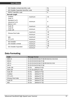| GS1 DataBar Limited identifier code  | RL      |           |
|--------------------------------------|---------|-----------|
| GS1 DataBar Expanded identifier code |         | <b>RX</b> |
| PDF417 identifier code               |         | X         |
| <b>Barcode Length</b>                |         |           |
| Codabar                              | maximum | 32        |
| Code 11                              |         |           |
| Standard 2 of 5                      | minimum | 6         |
| Industrial 2 of 5                    |         |           |
| Matrix 2 of 5                        |         |           |
| Code 39                              | maximum | 62        |
| Code 93<br>Code 128                  | minimum | 3         |
| <b>Chinese Post Code</b>             | maximum | 16        |
|                                      | minimum | 10        |
| <b>MSI</b>                           | maximum | 32        |
| ITF 2 of 5                           | minimum | 4         |
| GS1 DataBar                          | maximum | 14        |
| <b>GS1 DataBar Limited</b>           | minimum | 14        |
| GS1 DataBar Expanded                 | maximum | 48        |
|                                      | minimum | 6         |

### <span id="page-19-0"></span>**Data Formating**

| Code                     | <b>Message Format</b>                      |
|--------------------------|--------------------------------------------|
| <b>EAN-13</b>            | D1 D2 D3 D4 D5 D6 D7 D8 D9 D10 D11 D12 D13 |
| EAN-8                    | D1 D2 D3 D4 D5 D6 D7 D8                    |
| UPC-A                    | D1 D2 D3 D4 D5 D6 D7 D8 D9 D10 D11 D12     |
| UPC-E                    | D1 D2 D3 D4 D5 D6 D7 D8                    |
| Code 128                 | (default 3~62)<br>$D1-Dx$                  |
| EAN-128                  | C1 D1-Dx (default $3^{\sim}62$ )           |
| Code 39                  | (default 3~62)<br>$D1-Dx$                  |
| Codabar                  | (default 6~32)<br>$D1-Dx$                  |
| ITF $2$ of $5$           | (default 6~32)<br>$D1-Dx$                  |
| <b>Chinese Post Code</b> | (default 8~32)<br>$D1-Dx$                  |
| Code 93                  | (default 3~32)<br>$D1-Dx$                  |
| <b>MSI</b>               | (default 6~32)<br>$D1-Dx$                  |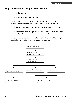#### <span id="page-20-0"></span>**Program Procedure Using Barcode Manual**

- 1. Power up the scanner.
- 2. Scan the Start of Configuration barcode.
- 3. Scan the barcode for the desired feature. Multiple features can be enabled/disabled before scanning the End of Configuration barcode.
- 4. Scan the End of Configuration barcode and save the new configuration.
- 5. To give up a configuration change, power off the scanner before scanning the End of Configuration barcode or scan the Abort barcode.
- 6. For some parameter setting, such as barcode length and identifier code, it is required to scan the Set barcode to save the configuration.

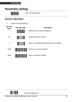## <span id="page-21-0"></span>**Parameter setting**

Start Of Configuration

### <span id="page-21-1"></span>**Scanner Operation**

1. System Function Setting

| <b>Barcode</b><br><b>Value</b><br>-- | <b>Barcode Label</b>                                                                                                  | <b>Description</b><br>Reset (return to factory default) |
|--------------------------------------|-----------------------------------------------------------------------------------------------------------------------|---------------------------------------------------------|
| %/                                   |                                                                                                                       | Display firmware version                                |
| $^{++}$                              | <u> HIII II II II I</u>                                                                                               | Abort : exit programming mode with no update            |
| <b>KE94</b>                          | <u> I i boli ili boli ili boli boli ili boli ili boli ili boli ili boli ili boli ili boli ili boli ili boli ili b</u> | Return to customer default                              |
| <b>KE95</b>                          |                                                                                                                       | Save as customer default                                |

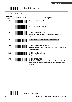

2. Interface Setting

| <b>Barcode</b><br>Value | <b>Barcode Label</b>               | <b>Description</b>                                                                                                                                                     |
|-------------------------|------------------------------------|------------------------------------------------------------------------------------------------------------------------------------------------------------------------|
| <b>KE97</b>             |                                    | Return to USB default                                                                                                                                                  |
| <b>KE99</b>             | <u> IIIIIIIIIIIIIIIIIIII</u>       | Return to RS-232 default                                                                                                                                               |
| KE87                    | <u> Hilli Hilli Hilli</u>          | Enable USB virtual COM<br>(Virtual COM driver required. For installation steps refer to<br>Appendix 1.)                                                                |
| KF <sub>01</sub>        |                                    | Enable IBM PC/AT/PS/2 Keyboard emulation                                                                                                                               |
| KF <sub>05</sub>        | <b>TITLE IN THE THEFT OF STATE</b> | Enable stand-alone keyboard<br>(Required no keyboard or key simulator. Only available for special<br>firmware version.)                                                |
| <b>KE98</b>             | <u> III III III III III II</u>     | Enable wand emulation<br>(Only available for special firmware version.)                                                                                                |
| <b>KF77</b>             |                                    | Enable OPOS/JPOS<br>(Available for USB interface only and requires driver. For RS-232<br>interface, the scanner needs reset and identifier code has to be<br>enabled.) |

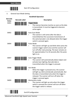

3. General Scan Mode Setting

| <b>Handheld Operation</b> |                                |                                                                                                                                                                                                                                                  |  |
|---------------------------|--------------------------------|--------------------------------------------------------------------------------------------------------------------------------------------------------------------------------------------------------------------------------------------------|--|
| Barcode<br>Value          | <b>Barcode Label</b>           | <b>Description</b>                                                                                                                                                                                                                               |  |
| SM01                      | <b>                     </b>   | <b>Trigger Mode</b><br>The scanner becomes inactive as soon as the data<br>is transmitted. It must be triggered to become<br>active again.                                                                                                       |  |
| SM <sub>02</sub>          | <u>                       </u> | Auto Scan Mode<br>The scanner is still active after the data is<br>transmitted but the successive transmission of<br>the same barcode is not allowed when the trigger<br>switch is pressed again.                                                |  |
| <b>SM04</b>               |                                | Pulse Mode<br>The scanner will light up and blink when press the<br>scanner trigger switch once and the scanner will<br>turn off after next pressing. The laser remains on<br>for approximately 3 to 10 seconds after the pulse<br>light is on.  |  |
| <b>SM07</b>               |                                | Auto Trigger Mode<br>The scanner will automatically detect object and<br>activate laser lighting. Barcode data is<br>transmitted when the trigger is pressed.                                                                                    |  |
| <b>SM08</b>               |                                | Aim Mode<br>When the trigger is pressed once, the scanner<br>will light up, blink and decode automatically. But<br>the data is transmitted only when the trigger is<br>released. The scanner will turn off when the<br>trigger is pressed again. |  |
| SM09                      | <u>HIINI HIINI HIINI III</u>   | Momentary mode<br>The scanner will light up only when the trigger<br>switch is pressed the scanner will turn off when<br>the trigger switch is release.                                                                                          |  |
|                           | <b>End Of Configuration</b>    |                                                                                                                                                                                                                                                  |  |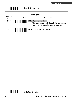

#### **Stand Operation**



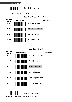

4. Operation Function Setting

#### **Good Read Beeper Tone Selection**



#### **Beeper Sound Selection**



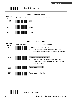

| <b>Beeper Volume Selection</b>              |                                            |                                                                                                                                                 |
|---------------------------------------------|--------------------------------------------|-------------------------------------------------------------------------------------------------------------------------------------------------|
| <b>Barcode</b><br>Value<br>GR <sub>20</sub> | <b>Barcode Label</b>                       | <b>Description</b>                                                                                                                              |
|                                             |                                            | Loud                                                                                                                                            |
| GR21                                        |                                            | Medium                                                                                                                                          |
| <b>GR22</b>                                 |                                            | Slight                                                                                                                                          |
|                                             |                                            |                                                                                                                                                 |
| <b>Barcode</b>                              |                                            | <b>Beeper Timing Selection</b>                                                                                                                  |
| Value                                       | <b>Barcode Label</b>                       | <b>Description</b>                                                                                                                              |
| LB <sub>00</sub>                            |                                            | LED/Beep after transmission<br>Use this barcode to indicate a "good read"<br>after a barcode has been successfully decoded.                     |
| LB01                                        |                                            | LED/Beep before transmission<br>Use this barcode to indicate a "good read"<br>before successfully transmitting the barcode<br>data to the host. |
| LB <sub>03</sub>                            | <u>                                   </u> | Power-on tone enable                                                                                                                            |
| LB <sub>04</sub>                            |                                            | Power-on tone disable                                                                                                                           |

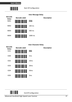

#### **Inter Message Delay**



#### **Inter Character Delay**

| <b>Barcode</b><br><b>Value</b> | <b>Barcode Label</b>          |                  | <b>Description</b> |
|--------------------------------|-------------------------------|------------------|--------------------|
| IC <sub>01</sub>               | <b>TILITI ILI MATTA TULLU</b> | <b>Oms</b>       |                    |
| IC <sub>00</sub>               | <b>THE REAL PROPERTY</b>      | 5 <sub>ms</sub>  |                    |
| IC <sub>02</sub>               |                               | 10 <sub>ms</sub> |                    |
| IC <sub>03</sub>               | <b>TENT TENT TENTENT</b>      | 20ms             |                    |
| IC <sub>04</sub>               |                               | 50 <sub>ms</sub> |                    |
| <b>IC05</b>                    |                               | 2 <sub>ms</sub>  |                    |

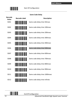

#### **Same Code Delay**

| <b>Barcode</b><br>Value | <b>Barcode Label</b>                | <b>Description</b>            |
|-------------------------|-------------------------------------|-------------------------------|
| SD01                    |                                     | Same code delay time 50msec   |
| SD02                    | <u>                         </u>    | Same code delay time 100msec  |
| SD <sub>03</sub>        | <u>                            </u> | Same code delay time 200msec  |
| SD <sub>04</sub>        |                                     | Same code delay time 300msec  |
| <b>SD05</b>             | <u>                          </u>   | Same code delay time 400msec  |
| SD <sub>06</sub>        |                                     | Same code delay time 500msec  |
| <b>SD07</b>             | <u>                           </u>  | Same code delay time 600msec  |
| <b>SD08</b>             |                                     | Same code delay time 700msec  |
| SD09                    |                                     | Same code delay time 800msec  |
| SD <sub>10</sub>        |                                     | Same code delay time 900msec  |
| <b>SD11</b>             |                                     | Same code delay time 1000msec |
| SD12                    |                                     | Same code delay time Infinite |

End Of Configuration

<u>|| || || || || || || ||</u>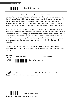**USER'S MANUAL**



Start Of Configuration

#### **Connection to an Omnidirectional Scanner**

Instead of connecting to a host, sometimes the handheld scanner is to be connected to the AUX port of an omnidirectional scanner and transmit data to the host system via this omnidirectional scanner. Such application is not uncommon in places like hypermarkets and home improvement shops where there are products too heavy or bulky to be put on the counter and need a handheld scanner to read their barcodes.

In most cases, the auxiliary input port's data transmission format would follow the main output format of the omnidirectional scanner, including barcode symbologies and related parameters. For example, if the handheld scanner can read Codabar while the omnidirectional scanner can not, the handheld scanner would decode a Codabar barcode without transmitting the data. To complete the data transmission process, you have to re‐program the omnidirectional scanner and enable Codabar decoding capability.

The following barcode allows you to enable and disable the AUX port. For more application and connection instructions, refer to the manual of the omnidirectional scanner.

**Barcode**



**Value Barcode Label Description**

AUXS Enable AUX function



Not all firmware versions support the AUX function. Please contact your distributor if you have any questions.

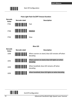

#### **Pulse Light Flash On/Off Timeout Duration**



#### **Blue LED**

| <b>Barcode</b><br>Value | <b>Barcode Label</b>                | <b>Description</b>                                           |
|-------------------------|-------------------------------------|--------------------------------------------------------------|
| LE <sub>00</sub>        |                                     | When scanner on stand, blue LED remains off when<br>decoding |
| LE <sub>01</sub>        | <u> IIIIIIIIIIIIIIIIIIIIIIIIIII</u> | When scanner on stand, blue LED lights on when<br>decoding   |
| LF <sub>04</sub>        | , ITONIANI ODILE INI ODINI OND      | When handheld, blue LED remains off when<br>decoding         |
| LE <sub>05</sub>        |                                     | When handheld, blue LED lights on when decoding              |

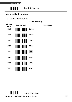

#### <span id="page-31-0"></span>**Interface Configuration**

1. RS‐232C Interface Setting

**Description** 

| Barcode<br>Value | <b>Barcode Label</b>                                                                                                 |        |
|------------------|----------------------------------------------------------------------------------------------------------------------|--------|
| <b>BR09</b>      | <b>THE REAL PROPERTY OF A SET OF A SET OF A SET OF A SET OF A SET OF A SET OF A SET OF A SET OF A SET OF A SET O</b> | 115200 |
| BR08             |                                                                                                                      | 57600  |
| BR <sub>00</sub> |                                                                                                                      | 38400  |
| BR01             | <u>                          </u>                                                                                    | 19200  |
| <b>BR02</b>      |                                                                                                                      | 9600   |
| BR <sub>03</sub> | <b>THE TELEVISION</b>                                                                                                | 4800   |
| BR04             | <b>THE REAL PROPERTY OF A SET OF A SET OF A SET OF A SET OF A SET OF A SET OF A SET OF A SET OF A SET OF A SET O</b> | 2400   |
| <b>BR05</b>      |                                                                                                                      | 1200   |

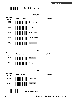

|                                                                  |                                               | <b>Parity Bit</b> |                    |
|------------------------------------------------------------------|-----------------------------------------------|-------------------|--------------------|
| <b>Barcode</b><br>Value                                          | <b>Barcode Label</b>                          |                   | <b>Description</b> |
| PB01                                                             |                                               | Even parity       |                    |
| PB <sub>02</sub>                                                 | <u>                          </u>             | Odd parity        |                    |
| <b>PB03</b>                                                      | <u>                                      </u> | Mark parity       |                    |
| PB <sub>04</sub>                                                 |                                               | Space parity      |                    |
| <b>PB05</b>                                                      | <u>                             </u>          | None parity       |                    |
|                                                                  |                                               | <b>Stop Bit</b>   |                    |
| <b>Barcode</b><br>Value                                          | <b>Barcode Label</b>                          |                   | <b>Description</b> |
| SB01                                                             |                                               | 1 stop bit        |                    |
| <b>SB02</b>                                                      |                                               | 2 stop bit        |                    |
|                                                                  |                                               | Data Bit          |                    |
| <b>Barcode</b>                                                   | <b>Barcode Label</b>                          |                   | <b>Description</b> |
| Value<br>DB <sub>07</sub>                                        |                                               | 7 data bit        |                    |
| DB08                                                             |                                               | 8 data bit        |                    |
| <u>, ITIN II I II II II II II</u><br><b>End Of Configuration</b> |                                               |                   |                    |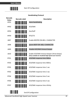

#### **Handshaking Protocol**

| <b>Barcode</b><br>Value | <b>Barcode Label</b>                  | <b>Description</b>                                                                                    |
|-------------------------|---------------------------------------|-------------------------------------------------------------------------------------------------------|
| <b>HP01</b>             | <b>TILITI DILINI ILI DILINI ILI</b>   | None handshaking                                                                                      |
| HP02                    |                                       | ACK/NAK                                                                                               |
| HP03                    | <b>                             </b>  | Xon/Xoff                                                                                              |
| HP04                    | <u>HIII HIII HIII HII</u>             | RTS/CTS                                                                                               |
| LB07                    |                                       | Enable BEEPER ON <bel> CHARACTER</bel>                                                                |
| LB08                    | <b>TERRITORIA DE LA PERSONA DEL</b>   | Ignore BEEP ON <bel> CHARACTER</bel>                                                                  |
| LB09                    |                                       | Disable ACK/NAK timeout beeper                                                                        |
| LB10                    |                                       | Enable ACK/NAK timeout beeper (three beeps)<br>(Only available for Handheld High-Speed Laser Scanner) |
| <b>RT01</b>             |                                       | ACK/NAK response time 300ms                                                                           |
| <b>RT03</b>             |                                       | ACK/NAK response time 500ms                                                                           |
| <b>RT05</b>             |                                       | ACK/NAK response time 1 sec                                                                           |
| <b>RT02</b>             | <u> III III III II III III III II</u> | ACK/NAK response time 2 sec                                                                           |
| <b>RT04</b>             | <u> III III IIII III III III III</u>  | ACK/NAK response time 3 sec                                                                           |
| <b>RT06</b>             | <u> III III III III III III III </u>  | ACK/NAK response time 5 sec                                                                           |
| <b>RT07</b>             |                                       | ACK/NAK response time infinity                                                                        |
|                         |                                       | <b>End Of Configuration</b>                                                                           |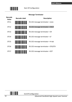

#### **Message Terminator**

| <b>Barcode</b><br>Value | <b>Barcode Label</b> | <b>Description</b>                |
|-------------------------|----------------------|-----------------------------------|
| DT11                    |                      | RS-232 message terminator-none    |
| DT12                    |                      | RS-232 message terminator-CR/LF   |
| DT13                    |                      | RS-232 message terminator–CR      |
| DT14                    |                      | RS-232 message terminator-LF      |
| DT15                    |                      | RS-232 message terminator-H-tab   |
| DT16                    |                      | RS-232 message terminator-STX/ETX |
| DT17                    |                      | RS-232 message terminator-EOT     |

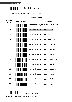

2. Keyboard Wedge and USB Interface Setting

#### **Language Support**

| <b>Barcode</b><br>Value | <b>Barcode Label</b>           | <b>Description</b>                      |
|-------------------------|--------------------------------|-----------------------------------------|
| KL <sub>00</sub>        |                                | International Keyboard mode (ALT mode)  |
| KLO1                    |                                | Keyboard language support-USA           |
| KL <sub>02</sub>        | <u>                       </u> | Keyboard language support-UK            |
| KL <sub>03</sub>        |                                | Keyboard language support – Germany     |
| KL <sub>04</sub>        |                                | Keyboard language support - French      |
| KL <sub>05</sub>        |                                | Keyboard language support - Spanish     |
| KL <sub>06</sub>        | <u>                       </u> | Keyboard language support - Italian     |
| KL <sub>07</sub>        |                                | Keyboard language support - Switzerland |
| <b>KL08</b>             |                                | Keyboard language support-Sweden        |
| KL <sub>09</sub>        |                                | Keyboard language support - Belgium     |
| <b>KL10</b>             |                                | Keyboard language support - Portugal    |
| <b>KL11</b>             |                                | Keyboard language support - Turkish     |
| <b>KL15</b>             |                                | Keyboard language support - Japanese    |

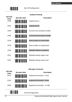

|                  |                                       | <b>Keyboard Setting</b>        |
|------------------|---------------------------------------|--------------------------------|
| Barcode<br>Value | <b>Barcode Label</b>                  | <b>Description</b>             |
| CP <sub>00</sub> |                                       | Capital lock on                |
| CP <sub>01</sub> |                                       | Capital lock off               |
| CP <sub>05</sub> |                                       | Function key emulation enable  |
| CP06             |                                       | Function key emulation disable |
| CP <sub>18</sub> |                                       | Send number as normal data     |
| CP19             |                                       | Send number as keypad data     |
| CP20             | <u> HIII NI NI NI HII III </u>        | Alphabet follow as keyboard    |
| CP21             | <b>THE REAL PROPERTY OF A PARTIES</b> | Alphabet always upper case     |
| CP22             |                                       | Alphabet always Lower case     |

### **Message Terminator**

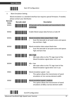

3. Want Emulation Setting

Wand emulation is a standard interface but requires special firmware. If needed, please contact your distributor.

| <b>Barcode</b><br>Value | <b>Barcode Label</b>            | <b>Description</b>                                                                                                      |
|-------------------------|---------------------------------|-------------------------------------------------------------------------------------------------------------------------|
| <b>WD01</b>             | <u> Harristan (</u>             | All barcode will be decoded and transmitted in that<br>symbology                                                        |
| <b>WD02</b>             |                                 | Enable Wand output data format as Code 39                                                                               |
| WO01                    | <u>                        </u> | Wand emulation data output black = high<br>Scan this barcode to set quiet zones and spaces<br>low and bars = high.      |
| WO02                    |                                 | Wand emulation data output black=low<br>Scan this barcode to set quiet zones and spaces<br>high and bars=low            |
| WO03                    |                                 | $Idle = high$<br>Idle state refers to the TTL logic level of the<br>Wand Emulation signal when not in use               |
| WO04                    |                                 | $Idle = low$<br>Idle state refers to the TTL logic level of the<br>Wand Emulation signal when not in use                |
| <b>WS01</b>             | <u>HIII IIII IIIIIIIIII</u>     | Wand emulation speed---Low<br>This option allows the transmission of wand<br>emulation at 1ms narrow element width      |
| <b>WS02</b>             |                                 | Wand emulation speed---medium<br>This option allows the transmission of wand<br>emulation at 600us narrow element width |

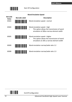

| <b>Wand Emulation Speed</b> |                      |                                                                                         |
|-----------------------------|----------------------|-----------------------------------------------------------------------------------------|
| <b>Barcode</b><br>Value     | <b>Barcode Label</b> | <b>Description</b>                                                                      |
| <b>WS03</b>                 |                      | Wand emulation speed---normal                                                           |
| <b>WS04</b>                 |                      | Wand emulation speed---high                                                             |
|                             |                      | This option allows the transmission of wand<br>emulation at 300us narrow element width  |
| <b>WS05</b>                 |                      | Wand emulation speed---higher                                                           |
|                             |                      | This option allows the transmission of wand<br>emulation at 100 us narrow element width |
| <b>WS00</b>                 |                      | Wand emulation narrow/wide ratio 1:2                                                    |
| <b>WS08</b>                 |                      | Wand emulation narrow/wide ratio 1:3                                                    |

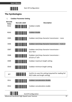

# **The Symbologies**

1. **Codabar Parameter Setting**



Advanced Handheld High-Speed Laser Scanner 34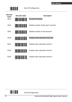

| <b>Barcode</b><br>Value<br>CB13 | <b>Barcode Label</b><br><u> Hillingan k</u> | <b>Description</b><br>No check character |
|---------------------------------|---------------------------------------------|------------------------------------------|
| CB14                            |                                             | Validate modulo 16, but don't transmit   |
| CB15                            | <b>ININ INI NI MANJIBI</b>                  | Validate modulo 16 and transmit          |
| <b>DC50</b>                     |                                             | Codabar data redundant check=off         |
| <b>DC51</b>                     | <u> Hilli Hill Hill</u>                     | Codabar data redundant check=1           |
| <b>DC52</b>                     | <u> Hillingan ka</u>                        | Codabar data redundant check=2           |
| DC53                            |                                             | Codabar data redundant check=3           |

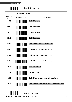

2. **Code 39 Parameter Setting**

| <b>Barcode</b><br>Value | <b>Barcode Label</b>                                                                                                 | <b>Description</b>                                |
|-------------------------|----------------------------------------------------------------------------------------------------------------------|---------------------------------------------------|
| <b>RC01</b>             |                                                                                                                      | Code 39 enable                                    |
| <b>RD01</b>             | <u>                                   </u>                                                                           | Code 39 disable                                   |
| <b>RC13</b>             | <b>THE REAL PROPERTY OF A STATE</b>                                                                                  | Code 32 enable                                    |
| <b>RD13</b>             | <u>                                   </u>                                                                           | Code 32 disable                                   |
| DC <sub>00</sub>        | <b>                             </b>                                                                                 | Code 39 data redundant check=off                  |
| DC01                    | <u>                                   </u>                                                                           | Code 39 data redundant check=1                    |
| DC <sub>02</sub>        | <u>                                   </u>                                                                           | Code 39 data redundant check=2                    |
| DC <sub>03</sub>        | <u>                                   </u>                                                                           | Code 39 data redundant check=3                    |
| 3901                    | <b>THE REAL PROPERTY OF A SET OF A SET OF A SET OF A SET OF A SET OF A SET OF A SET OF A SET OF A SET OF A SET O</b> | Standard code 39                                  |
| 3902                    |                                                                                                                      | Full ASCII code 39                                |
| 3903                    |                                                                                                                      | Code 39 start/stop character transmission         |
| 3904                    | <u> IIII IIII IIII IIII IIII</u>                                                                                     | Code 39 start/stop character without transmission |
|                         |                                                                                                                      |                                                   |

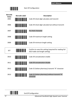

| <b>Barcode</b><br>Value<br>3905 | <b>Barcode Label</b><br><u>                                      </u> | <b>Description</b><br>Code 39 check digit calculate and transmit                           |
|---------------------------------|-----------------------------------------------------------------------|--------------------------------------------------------------------------------------------|
| 3906                            |                                                                       | Code 39 check digit calculate but without transmit                                         |
| 3907                            |                                                                       | No check character                                                                         |
| 3908                            |                                                                       | Code 39 maximum length setting                                                             |
| 3909                            |                                                                       | Code 39 minimum length setting                                                             |
| <b>SET</b>                      |                                                                       | Confirm to save this setting (required for reading full<br>ASCII table and length setting) |
| 3910                            |                                                                       | Code 39 concatenation enable                                                               |
| 3911                            |                                                                       | Code 39 concatenation disable                                                              |
| 3912                            |                                                                       | Code 32 (Italian pharmacy) transmit "A" character                                          |
| 3913                            |                                                                       | Code 32 (Italian pharmacy) without transmit "A"<br>character                               |

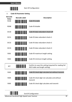

3. **Code 93 Parameter Setting**

| <b>Barcode</b><br>Value | <b>Barcode Label</b> | <b>Description</b>                                                                         |
|-------------------------|----------------------|--------------------------------------------------------------------------------------------|
| <b>RC08</b>             |                      | Code 93 enable                                                                             |
| <b>RD08</b>             |                      | Code 93 disable                                                                            |
| <b>DC30</b>             |                      | Code 93 data redundant check=off                                                           |
| <b>DC31</b>             |                      | Code 93 data redundant check=1                                                             |
| <b>DC32</b>             |                      | Code 93 data redundant check=2                                                             |
| <b>DC33</b>             |                      | Code 93 data redundant check=3                                                             |
| 9301                    |                      | Code 93 maximum length setting                                                             |
| 9302                    |                      | Code 93 minimum length setting                                                             |
| <b>SET</b>              |                      | Confirm to save this setting (required for reading full<br>ASCII table and length setting) |
| 9303                    |                      | Code 93 check digit calculate but without transmit                                         |
| 9304                    |                      | Code 93 check digit not calculate and without<br>transmit                                  |
| 9305                    |                      | Code 93 check digit calculate and transmit                                                 |
|                         |                      |                                                                                            |

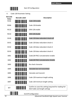

4. Code 128 Parameter Setting

| <b>Barcode</b><br>Value | <b>Barcode Label</b>                 | <b>Description</b>                                                                         |
|-------------------------|--------------------------------------|--------------------------------------------------------------------------------------------|
| <b>RC06</b>             | <u> Harristan Sa</u>                 | Code 128 enable                                                                            |
| RD <sub>06</sub>        | <u>                        </u>      | Code 128 disable                                                                           |
| RC10                    |                                      | EAN-128 enable                                                                             |
| RD10                    | <u> III III III III III III III </u> | EAN-128 disable                                                                            |
| DC40                    |                                      | Code 128 data redundant check=off                                                          |
| DC41                    |                                      | Code 128 data redundant check=1                                                            |
| DC42                    |                                      | Code 128 data redundant check=2                                                            |
| DC43                    |                                      | Code 128 data redundant check=3                                                            |
| 1801                    | <u>                         </u>     | Code128 FNC2 concatenation enable                                                          |
| 1802                    |                                      | Code128 FNC2 concatenation disable                                                         |
| 1803                    | <u> III Milliam III M</u>            | No check character                                                                         |
| 1804                    | <u> III III III III III III III </u> | Calculate but not transmitted                                                              |
| 1805                    |                                      | Calculate and transmit                                                                     |
| 1806                    |                                      | Code 128 maximum length setting                                                            |
| 1807                    |                                      | Code 128 minimum length setting                                                            |
| <b>SET</b>              | <u>                   </u>           | Confirm to save this setting (required for reading full<br>ASCII table and length setting) |
|                         |                                      | <b>End Of Configuration</b>                                                                |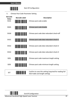

5. Chinese Post Code Parameter Setting

| <b>Barcode</b><br>Value<br><b>RC05</b> | <b>Barcode Label</b>                          | <b>Description</b><br>Chinese post code enable                                             |
|----------------------------------------|-----------------------------------------------|--------------------------------------------------------------------------------------------|
| <b>RD05</b>                            | <u>                             </u>          | Chinese post code disable                                                                  |
| <b>DC60</b>                            | <u>                              </u>         | Chinese post code data redundant check=off                                                 |
| DC61                                   | <u>                          </u>             | Chinese post code data redundant check=1                                                   |
| <b>DC62</b>                            |                                               | Chinese post code data redundant check=2                                                   |
| DC63                                   | <u>                                      </u> | Chinese post code data redundant check=3                                                   |
| SZ01                                   |                                               | Chinese post code maximum length setting                                                   |
| SZ02                                   |                                               | Chinese post code minimum length setting                                                   |
| <b>SET</b>                             |                                               | Confirm to save this setting (required for reading full<br>ASCII table and length setting) |

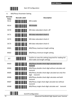

6. MSI/Plessy Parameter Setting

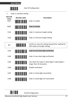

7. Code 11 Interface Setting

| <b>Barcode</b><br>Value | <b>Barcode Label</b>                          | <b>Description</b>                                                                         |
|-------------------------|-----------------------------------------------|--------------------------------------------------------------------------------------------|
| <b>RC07</b>             |                                               | Code 11 enable                                                                             |
| <b>RD07</b>             | <u>                       </u>                | Code 11 disable                                                                            |
| 1101                    |                                               | Code 11 maximum length setting                                                             |
| 1102                    | <u>                                      </u> | Code 11 minimum length setting                                                             |
| <b>SET</b>              |                                               | Confirm to save this setting (required for reading full<br>ASCII table and length setting) |
| 1103                    |                                               | Code 11 one check digit verification                                                       |
| 1104                    |                                               | Code 11 two check digit verification                                                       |
| 1105                    | <u>                          </u>             | Two Check for Code 11 check digit if code length is<br>longer than 10 characters           |
| 1106                    |                                               | Disable verification                                                                       |
| 1107                    |                                               | Code 11 check digit transmitted                                                            |
| 1108                    |                                               | Code 11 check digit not transmitted                                                        |

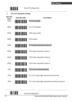

| 8.                              | <b>ITF 2 of 5 Parameter Setting</b>    |                                                       |
|---------------------------------|----------------------------------------|-------------------------------------------------------|
| <b>Barcode</b><br>Value<br>RC04 | <b>Barcode Label</b>                   | <b>Description</b><br>ITF 2 of 5 enable               |
| RD <sub>04</sub>                |                                        | ITF 2 of 5 disable                                    |
| <b>RC09</b>                     |                                        | <b>IATA code enable</b>                               |
| <b>RD09</b>                     | <u>HIII HIII HIII HII</u>              | <b>IATA disable</b>                                   |
| <b>DC80</b>                     | <u>HIINI ITI III III III III</u>       | ITF 25 data redundant check=off                       |
| <b>DC81</b>                     |                                        | ITF25 data redundant check=1                          |
| <b>DC82</b>                     | <u>                             </u>   | ITF25 data redundant check=2                          |
| <b>DC83</b>                     | <u>                               </u> | ITF25 data redundant check=3                          |
| IT <sub>03</sub>                | <u>HIII HII HII HII HII</u>            | ITF 2 of 5 no check character                         |
| <b>IT04</b>                     |                                        | ITF 2 of 5 check digit calculate and transmit         |
| <b>IT05</b>                     |                                        | ITF 2 of 5 check digit calculate but without transmit |



End Of Configuration

43 Advanced Handheld High‐Speed Laser Scanner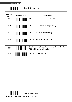

| <b>Barcode</b><br><b>Value</b><br>IT <sub>01</sub> | <b>Barcode Label</b> | <b>Description</b><br>ITF 2 of 5 code maximum length setting                               |
|----------------------------------------------------|----------------------|--------------------------------------------------------------------------------------------|
| IT <sub>02</sub>                                   |                      | ITF 2 of 5 code minimum length setting                                                     |
| IT <sub>06</sub>                                   |                      | ITF 2 of 5 one fixed length setting                                                        |
| IT <sub>07</sub>                                   |                      | ITF 2 of 5 two fixed length setting                                                        |
| <b>SET</b>                                         |                      | Confirm to save this setting (required for reading full<br>ASCII table and length setting) |
| IT <sub>08</sub>                                   |                      | ITF 2 of 5 length variable                                                                 |

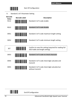

9. Standard 2 of 5 Parameter Setting

| <b>Barcode</b><br>Value<br><b>RC22</b> | <b>Barcode Label</b><br><u> Hillingan ka</u> | <b>Description</b><br>Standard 2 of 5 code enable                                          |
|----------------------------------------|----------------------------------------------|--------------------------------------------------------------------------------------------|
| <b>RD22</b>                            |                                              | Standard 2 of 5 code disable                                                               |
| D051                                   |                                              | Standard 2 of 5 code maximum length setting                                                |
| D052                                   |                                              | Standard 2 of 5 code minimum length setting                                                |
| <b>SET</b>                             |                                              | Confirm to save this setting (required for reading full<br>ASCII table and length setting) |
| D053                                   | <u>HIINI IN INI INI MINI</u>                 | Standard 2 of 5 code no check character                                                    |
| D054                                   |                                              | Standard 2 of 5 code check digit calculate and<br>transmit                                 |
|                                        |                                              |                                                                                            |

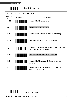

10. Industrial 2 of 5 Parameter Setting

| <b>Barcode</b><br>Value<br><b>RC21</b> | <b>Barcode Label</b><br><u> III III III III III III II</u> | <b>Description</b><br>Industrial 2 of 5 code enable                                        |
|----------------------------------------|------------------------------------------------------------|--------------------------------------------------------------------------------------------|
| <b>RD21</b>                            |                                                            | Industrial 2 of 5 code disable                                                             |
| D251                                   |                                                            | Industrial 2 of 5 code maximum length setting                                              |
| D252                                   |                                                            | Industrial 2 of 5 code minimum length setting                                              |
| <b>SET</b>                             |                                                            | Confirm to save this setting (required for reading full<br>ASCII table and length setting) |
| D <sub>253</sub>                       |                                                            | Industrial 2 of 5 code no check character                                                  |
| D <sub>254</sub>                       |                                                            | Industrial 2 of 5 code check digit calculate and<br>transmit                               |
| D <sub>255</sub>                       |                                                            | Industrial 2 of 5 code check digit calculate but                                           |

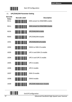

## 11. **UPC/EAN/JAN Parameter Setting**

| <b>Barcode</b><br>Value | <b>Barcode Label</b>                  | <b>Description</b>               |
|-------------------------|---------------------------------------|----------------------------------|
| <b>RC11</b>             |                                       | EAN convert to ISSN/ISBN enable  |
| <b>RD11</b>             |                                       | EAN convert to ISSN/ISBN disable |
| RC03                    |                                       | UPC/EAN/JAN enable               |
| <b>RD03</b>             |                                       | UPC/EAN/JAN disable              |
| UE01                    | <u>HIII HIII HIII HIII HII</u>        | UPC/EAN/JAN all enable           |
| <b>UE02</b>             | <u>                            </u>   | EAN-8 or EAN-13 enable           |
| UE03                    | <u>HIII HIII HIII HIII HII</u>        | UPC-A and EAN-13 enable          |
| <b>UE04</b>             | <u>                              </u> | UPC-A and UPC-E enable           |
| UE05                    | <u>HIII HIII HIII HIII HII</u>        | <b>UPC-A enable</b>              |
| <b>UE06</b>             | <u>                        </u>       | UPC-E enable                     |
| UE07                    | <u>                              </u> | EAN-13 enable                    |
| <b>UE08</b>             | <b>THE REAL PROPERTY OF A PARTIES</b> | EAN-8 enable                     |
| UF09                    |                                       | <b>UPC/EAN Addendum disable</b>  |
|                         |                                       |                                  |

End Of Configuration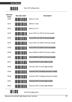

| <b>Barcode</b><br>Value | <b>Barcode Label</b>                          | <b>Description</b>                       |
|-------------------------|-----------------------------------------------|------------------------------------------|
| UF10                    |                                               | Add on 5 only                            |
| <b>UE11</b>             |                                               | Add on 2 only                            |
| <b>UE12</b>             | <u>                                      </u> | Add on 2 or 5                            |
| UE13                    |                                               | Force UPC-E to UPC-A format enable       |
| UE14                    |                                               | Force UPC-E to UPC-A format disable      |
| <b>UE15</b>             |                                               | Force UPC-A to EAN-13 format enable      |
| <b>UE16</b>             |                                               | Force UPC-A to EAN-13 format disable     |
| <b>UE44</b>             |                                               | Force EAN-8 to EAN-13 format enable      |
| UE45                    | <u>                       </u>                | Force EAN-8 to EAN-13 format disable     |
| UE17                    |                                               | Transmit UPC-A check digit enable        |
| <b>UE18</b>             |                                               | Transmit UPC-A check digit disable       |
| <b>UE19</b>             |                                               | Transmit UPC-E leading character enable  |
| <b>UE20</b>             |                                               | Transmit UPC-E leading character disable |
| <b>UE21</b>             |                                               | Transmit UPC-E check digit enable        |
| <b>UE22</b>             |                                               | Transmit UPC-E check digit disable       |
|                         |                                               | <b>End Of Configuration</b>              |

Advanced Handheld High-Speed Laser Scanner 48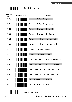

| Barcode<br>Value | <b>Barcode Label</b>                       | <b>Description</b>                              |
|------------------|--------------------------------------------|-------------------------------------------------|
| <b>UE23</b>      |                                            | Transmit EAN-8 check digit enable               |
| <b>UE24</b>      | <u>HIII HIII HIII HIII</u>                 | Transmit EAN-8 check digit disable              |
| <b>UE25</b>      | <u>                        </u>            | Transmit EAN-13 check digit enable              |
| <b>UE26</b>      | <u>HIII HIII HIII HIII</u>                 | Transmit EAN-13 check digit disable             |
| UE27             | <u>                        </u>            | Transmit UPC-A leading character enable         |
| <b>UE28</b>      | <u>HIII HIII HIII HIII HII</u>             | Transmit UPC-A leading character disable        |
| UE30             | <u>HIII HIII HII HII HII</u>               | Add-on format with separator                    |
| <b>UE31</b>      | <u>HIII HIII HII HII HII</u>               | Add-on format without separator                 |
| UE60             | <u>HIII HIII HII HIII HII</u>              | EAN-13 country code first "0" can transmitted   |
| <b>UE61</b>      |                                            | EAN-13 country code first:"0" can't transmitted |
| UE66             |                                            | EAN-13 with first 0 ID code same as "UPC-A"     |
| UE67             | <u>                                   </u> | EAN-13 with first 0 ID code same as "EAN-13"    |
| DC10             |                                            | UPC-A data redundant check=off                  |
| DC11             |                                            | UPC-A data redundant check=1                    |

End Of Configuration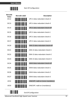

| Barcode<br>Value | <b>Barcode Label</b>                    | <b>Description</b>               |
|------------------|-----------------------------------------|----------------------------------|
| <b>DC12</b>      |                                         | UPC-A data redundant check=2     |
| <b>DC13</b>      |                                         | UPC-A data redundant check=3     |
| DC14             |                                         | UPC-E data redundant check=off   |
| DC15             |                                         | UPC-E data redundant check=1     |
| <b>DC16</b>      |                                         | UPC-E data redundant check=2     |
| DC17             |                                         | UPC-E data redundant check=3     |
| DC20             |                                         | EAN-13 data redundant check=off  |
| DC21             |                                         | EAN-13 data redundant check=1    |
| DC22             |                                         | EAN-13 data redundant check=2    |
| DC <sub>23</sub> |                                         | EAN-13 data redundant check=3    |
| <b>DC24</b>      |                                         | EAN-8 data redundant check=off   |
| DC25             |                                         | EAN-8 data redundant check=1     |
| <b>DC26</b>      | <u>                                </u> | EAN-8 data redundant check=2     |
| DC27             |                                         | EAN-8 data redundant check=3     |
| UE32             |                                         | EAN/UPC +add-on (none mandatory) |
| UE33             |                                         | EAN/UPC +add-on (mandatory)      |
|                  |                                         | <b>End Of Configuration</b>      |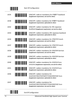

| <b>UE35</b> | <b>THE REAL PROPERTY</b>             | EAN/UPC +add-on mandatory for 978/977 bookland<br>(Supplement requirement, not sent for other)                              |
|-------------|--------------------------------------|-----------------------------------------------------------------------------------------------------------------------------|
| UE38        | <b>TILL TELEVISION</b>               | EAN/UPC +addon mandatory for 978/977 bookland<br>(Supplement requirement, optionally for other)                             |
| <b>UE42</b> |                                      | EAN/UPC +addon mandatory for 491 Japanese<br>bookland (Supplement requirement, not sent for other)                          |
| UE43        |                                      | EAN/UPC +addon mandatory 491 Japanese bookland<br>(Supplement requirement, optionally for other)                            |
| <b>UE34</b> | <b>TILL TELEVISION</b>               | EAN/UPC +addon mandatory for 378/379 French<br>(Supplement requirement, not sent for other)                                 |
| UE37        |                                      | EAN/UPC +addon mandatory for 378/379 French<br>(Supplement requirement, optionally for other)                               |
| UE36        | <u>                           </u>   | EAN/UPC +addon mandatory for 434/439 German<br>(Supplement requirement, not sent for other)                                 |
| UE39        | <u>                             </u> | EAN/UPC +addon mandatory for 434/439 German<br>(Supplement requirement, optionally for other)                               |
| <b>UE40</b> |                                      | EAN/UPC +addon mandatory for 419/414 Euro<br>amounts (Supplement requirement, not sent for other)                           |
| UF41        | <u>                      </u>        | EAN/UPC +addon mandatory for 414/419 Euro<br>(Supplement requirement, optionally for other)                                 |
| <b>UE46</b> | <u>                            </u>  | EAN/UPC +addon mandatory for<br>414/419/378/379/978/977/434/439/529/ Euro<br>(Supplement requirement, optionally for other) |
| <b>UE47</b> | <u>                       </u>       | EAN/UPC +addon mandatory for<br>414/419/378/379/978/977/434/439/529/ Euro<br>(Supplement requirement, not sent for other)   |

End Of Configuration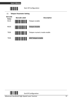

12. **Telepen Parameter Setting**



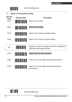

13. **Matrix 2 of 5 Parameter Setting**

| <b>Barcode</b><br>Value<br><b>RC12</b> | <b>Barcode Label</b>       | <b>Description</b><br>Matrix 2 of 5 enable                                                 |
|----------------------------------------|----------------------------|--------------------------------------------------------------------------------------------|
| <b>RD12</b>                            | <u>                   </u> | Matrix 2 of 5 disable                                                                      |
| D <sub>151</sub>                       |                            | Matrix 2 of 5 maximum length setting                                                       |
| D <sub>152</sub>                       |                            | Matrix 2 of 5 minimum length setting                                                       |
| <b>SET</b>                             |                            | Confirm to save this setting (required for reading full<br>ASCII table and length setting) |
| D <sub>153</sub>                       |                            | Matrix 2 of 5 no check character                                                           |
| D154                                   |                            | Matrix 2 of 5 check digit calculate and transmit                                           |
| D <sub>155</sub>                       |                            | Matrix 2 of 5 check digit calculate but without<br>transmission                            |

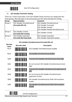

## 14. **GS1 DataBar Parameter Setting**

There are 7 kinds of barcodes in the GS1 DataBar family and they are categorized into three groups. Barcode types in the same group use the same barcodes for setting.

| Group                                 | Representative                     | <b>Contents</b>                            |
|---------------------------------------|------------------------------------|--------------------------------------------|
| Group 1                               | <b>GS1 DataBar Omnidirectional</b> | <b>GS1 DataBar Omnidirectional</b>         |
|                                       | (Formally RSS-14)                  | <b>GS1 DataBar Truncated</b>               |
|                                       |                                    | <b>GS1 DataBar Stacked</b>                 |
|                                       |                                    | <b>GS1 DataBar Stacked Omnidirectional</b> |
| <b>GS1 DataBar Limited</b><br>Group 2 |                                    | <b>GS1 DataBar Limited</b>                 |
|                                       | (Formally RSS Limited)             |                                            |
| Group 3                               | <b>GS1 DataBar Expanded</b>        | <b>GS1 DataBar Expanded</b>                |
|                                       | (Formally RSS Expanded)            | <b>GS1 DataBar Expanded Stacked</b>        |

## **GS1 DataBar Omnidirectional (Formally RSS‐14)**

| <b>Barcode</b><br><b>Value</b> | <b>Barcode Label</b>                       | <b>Description</b>                                                 |
|--------------------------------|--------------------------------------------|--------------------------------------------------------------------|
| <b>RC15</b>                    |                                            | GS1 DataBar Omnidirectional enable                                 |
| <b>RD15</b>                    | <u>                                   </u> | GS1 DataBar Omnidirectional disable                                |
| <b>SS00</b>                    |                                            | Transmit GS1 DataBar Omnidirectional check digit                   |
| SS01                           |                                            | Do not transmit GS1 DataBar Omnidirectional check<br>digit         |
| SS02                           | <u> ITINI III III III III III III</u>      | Transmit GS1 DataBar Omnidirectional application ID<br>(01)        |
| SS03                           |                                            | Do not transmit GS1 DataBar Omnidirectional<br>application ID (01) |
| <b>SS05</b>                    |                                            | GS1 DataBar Omnidirectional / EAN-128 emulation<br>enable          |
| <b>SS04</b>                    |                                            | GS1 DataBar Omnidirectional / EAN-128 emulation<br>disable         |

End Of Configuration

Advanced Handheld High-Speed Laser Scanner 54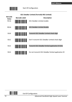

|                         | <b>GS1 DataBar Limited (Formally RSS Limited)</b> |                                                    |
|-------------------------|---------------------------------------------------|----------------------------------------------------|
| <b>Barcode</b><br>Value | <b>Barcode Label</b>                              | <b>Description</b>                                 |
| <b>RC16</b>             |                                                   | GS1 DataBar Limited enable                         |
| <b>RD16</b>             | <u>HII INI INI INI INI INI INI</u>                | <b>GS1 DataBar Limited disable</b>                 |
| SS10                    | <u> HIII III III III III III III II</u>           | Transmit GS1 DataBar Limited check digit           |
| SS11                    |                                                   | Don't transmit GS1 DataBar Limited check digit     |
| SS <sub>12</sub>        | <b>TANA ATA</b>                                   | Transmit GS1 DataBar limited application ID (01)   |
| SS13                    |                                                   | Do not transmit GS1 DataBar limited application ID |

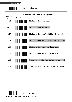**USER'S MANUAL**



|                         | <b>GS1 DataBar Expanded (Formally RSS Expanded)</b> |                                                        |
|-------------------------|-----------------------------------------------------|--------------------------------------------------------|
| <b>Barcode</b><br>Value | <b>Barcode Label</b>                                | <b>Description</b>                                     |
| <b>RC17</b>             | <u>MINI INI INI INI INI</u>                         | GS1 DataBar Expanded enable                            |
| <b>RD17</b>             |                                                     | GS1 DataBar Expanded disable                           |
| <b>SS07</b>             | <u>                           </u>                  | GS1 DataBar Expanded/EAN-128 emulation enable          |
| SS06                    |                                                     | GS1 DataBar Expanded/EAN-128 emulation disable         |
| <b>SS08</b>             |                                                     | GS1 DataBar Expanded check digital enable              |
| <b>SS09</b>             |                                                     | GS1 DataBar Expanded check digital disable             |
| SS <sub>16</sub>        |                                                     | Transmit GS1 DataBar Expanded application ID (01)      |
| <b>SS17</b>             |                                                     | Do not transmit GS1 DataBar Expanded application<br>ID |

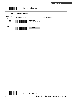

### 15. **PDF417 Parameter Setting**



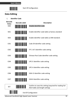

## **Data Editing**

1. **Identifier Code**

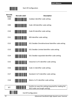

| <b>Barcode</b><br>Value<br><b>CI08</b> | <b>Barcode Label</b>                  | <b>Description</b><br>Codabar identifier code setting                                      |  |  |
|----------------------------------------|---------------------------------------|--------------------------------------------------------------------------------------------|--|--|
| <b>CI09</b>                            | <u>                           </u>    | Code 128 identifier code setting                                                           |  |  |
| C <sub>110</sub>                       |                                       | Code 93 identifier code setting                                                            |  |  |
| C <sub>111</sub>                       | <u>                        </u>       | MSI identifier code setting                                                                |  |  |
| C <sub>112</sub>                       |                                       | GS1 DataBar Omnidirectional identifier code setting                                        |  |  |
| C113                                   | <u>HIII III III III III III I</u>     | GS1 DataBar Limited identifier code setting                                                |  |  |
| C <sub>114</sub>                       |                                       | GS1 DataBar expanded identifier code setting                                               |  |  |
| C <sub>15</sub>                        |                                       | Industrial 2 of 5 identifier code setting                                                  |  |  |
| C <sub>16</sub>                        |                                       | Code 11 Identifier code setting                                                            |  |  |
| CI17                                   |                                       | Standard 2 of 5 identifier code setting                                                    |  |  |
| C118                                   | <u> III III III III III III III I</u> | Matrix 2 of 5 identifier code setting                                                      |  |  |
| <b>SET</b>                             | IIII                                  | Confirm to save this setting (required for reading full<br>ASCII table and length setting) |  |  |
| <b>End Of Configuration</b>            |                                       |                                                                                            |  |  |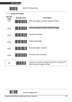**USER'S MANUAL**



Start Of Configuration

2. **Header and Trailer** 



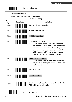

#### 3. **Multi‐Barcode Editing**

Refer to Appendix 3 for detail setup steps.

**Function Setting Barcode Value Barcode Label Description** MC00 Start to edit multi‐barcode MC01 **Multi-barcode enable** MC02 **Multi-barcode disable** MC03 Apply output sequence In this mode, the scanner would retain the barcode data until it reads all the conditioned barcodes and transmit the data all together. It the scanner reads a barcode not compliant with programmed format, it would consider it a normal barcode and transmit this data. MC04 **Enforce output sequence**  In this mode, every barcode must follow the programmed format; otherwise no data would be transmitted. MC05 Enable terminator MC06 Disable terminator SET **Confirm to save this setting (required for reading full** Confirm to save this setting (required for reading full ASCII table and length setting)

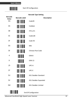

## **Barcode Type Setting**

| <b>Barcode</b><br>Value | <b>Barcode Label</b>           | <b>Description</b>          |  |  |
|-------------------------|--------------------------------|-----------------------------|--|--|
| \$Q                     | <u>                       </u> | Code39                      |  |  |
| \$A                     |                                | Codabar                     |  |  |
| \$B                     | <u>HIII HIII HII</u>           | ITF2 of 5                   |  |  |
| \$C                     | <u>                       </u> | Code128                     |  |  |
| \$F                     | <u>HIII HIII HII</u>           | Code 93                     |  |  |
| \$G                     | <u> Hilli Hilli</u>            | <b>MSI</b>                  |  |  |
| \$E                     | <u>                    </u>    | <b>Chinese Post Code</b>    |  |  |
| 4                       | <b>THE REAL</b>                | EAN-8                       |  |  |
| D                       |                                | <b>EAN-13</b>               |  |  |
| /D                      |                                | UPC-A                       |  |  |
| \$T                     | <u> Hilli Hilli</u>            | UPC-E                       |  |  |
| \$U                     | <u> Hillian M</u>              | <b>GS1 DataBar Standard</b> |  |  |
| \$V                     |                                | GS1 DataBar Expanded        |  |  |
| \$W                     | <u> Hilli Hilli</u>            | <b>GS1 DataBar Limited</b>  |  |  |
|                         |                                | <b>End Of Configuration</b> |  |  |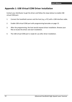## **Appendix 1: USB Virtual COM Driver Installation**

Contact your distributor to get the driver and follow the steps below to enable USB virtual COM port.

- 1. Connect the handheld scanner and the host (e.g. a PC) with a USB interface cable.
- 2. Enable USB virtual COM port with programming barcodes on page 13.
- 3. After the programming, the host would request driver installation. Browse your files to locate the driver and start installation.
- 4. The USB virtual COM port is ready for use after driver installation.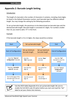## **Appendix 2: Barcode Length Setting**

#### Introduction

The length of a barcode is the number of characters it contains, including check digits. As listed in the Default Parameters section, each barcode type has different default length. You may change the setting by the following procedure.

To set up barcode length, the paramours to be determined are barcode type and the desired barcode length. Barcode length is consisted of 2 digits. For numbers smaller than 10, you need to add a "0" in the front.

#### Example

If the barcode length is 4 to 12 digits, the steps would be as below:





Use the ASCII table (Appendix 4) to set up barcode length. Be sure to enable the full ASCII code 39 option before you start and read the "Set" label to set your choice into memory.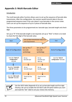## **Appendix 3: Multi‐Barcode Editor**

### Introduction

The multi‐barcode editor function allows users to set up the sequence of barcode data transmission. After the configuration, the scanner would transmit data in the pre‐ programmed sequence even if the user doesn't scan barcodes in the correct order. Users can set up the sequence of up to 5 pieces of barcode data.

The three parameters to be programmed are: barcode type, barcode length and check digit.

Set up as "0" if the barcode length is not required; set up as "NUL" is there is no need to check the first digit of the barcode value.





Use the ASCII table (Appendix 4) to set up barcode length and first digit checkup. Be sure to enable the full ASCII code 39 option before you start and read the "Set" label to set your choice into memory.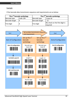### Example

If the barcode data transmission sequence and requirements are as below:

|                | The 1 <sup>st</sup> barcode symbology | The 2 <sup>nd</sup> barcode symbology |                                            |
|----------------|---------------------------------------|---------------------------------------|--------------------------------------------|
| Barcode type   | Code 128                              | Barcode type                          | Code 39                                    |
| Barcode length | g                                     | Barcode length                        | 12                                         |
| First digit    | A                                     | First digit                           | No check on the first digit is<br>required |

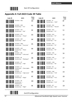

Start Of Configuration

# **Appendix 4: Full ASCII Code 39 Table**

| Code 39      | <b>ASCII</b>                                                    | Hexa-<br>code  | Code 39                | <b>ASCII</b>                                    | Hexa-<br>code  |
|--------------|-----------------------------------------------------------------|----------------|------------------------|-------------------------------------------------|----------------|
|              | Full ASCII --- NUL                                              | 00             |                        | Full ASCII --- SI<br>Function key ----- "Shift" | 0F             |
| <u> Hill</u> | Full ASCII --- SOH<br>Function key-----"Ins"                    | 01             | <u> Hilling</u>        | Full ASCII --- DLE<br>Function key-----"5(num)" | 10             |
|              | Full ASCII --- STX<br>Function key-----"Del"                    | 02             |                        | Full ASCII --- DC1<br>Function key-----"F1"     | 11             |
|              | Full ASCII --- ETX<br>Function key-----"Home"                   | 03             |                        | Full ASCII --- DC2<br>Function key-----"F2"     | 12             |
|              | Full ASCII --- EOT<br>Function key-----"End"                    | 04             |                        | Full ASCII --- DC3<br>Function key-----"F3"     | 13             |
|              | Full ASCII --- ENQ<br>Function key-----"Up arrow"               | 05             |                        | Full ASCII --- DC4<br>Function key-----"F4"     | 14             |
|              | Full ASCII --- ACK<br>Function key-----"Down<br>arrow"          | 06             |                        | Full ASCII --- NAK<br>Function key-----"F5"     | 15             |
|              | Full ASCII --- BEL<br>Function key-----"Left arrow"             | 07             |                        | Full ASCII --- SYN<br>Function key-----"F6"     | 16             |
|              | Full ASCII --- BS<br>Function key-----"Backspace"               | 08             |                        | Full ASCII --- ETB<br>Function key-----"F7"     | 17             |
|              | Full ASCII ---HT<br>Function key-----"TAB"                      | 09             | <u> Hilli Hilli</u>    | Full ASCII --- CAN<br>Function key ----- "F8"   | 18             |
|              | Full ASCII --- LF<br>Function key-----"Enter (alpha<br>numeric" | 0A             |                        | Full ASCII --- EN<br>Function key-----"F9"      | 19             |
|              | Full ASCII --- VT<br>Function key-----"right arrow"             | 0 <sub>B</sub> |                        | Full ASCII --- SUB<br>Function key ----- "F10"  | 1A             |
|              | Full ASCII --- FF<br>Function key ----- "PgUp"                  | 0C             | <u>               </u> | Full ASCII --- ESC<br>Function key-----"F11"    | 1B             |
|              | Full ASCII --- CR<br>Function key-----<br>"Enetr(num.)"         | 0D             |                        | Full ASCII --- FS<br>Function key ----- "F12"   | 1 <sup>C</sup> |
|              | Full ASCII --- SO<br>Function key-----"PgDn"                    | 0E             |                        | Full ASCII --- GS<br>Function key ----- "ESC"   | 1D             |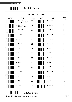

## **Full ASCII Code 39 Table**

| Code 39                     | <b>ASCII</b>                                     | Hexa-<br>code | Code 39               | <b>ASCII</b>     | Hexa-<br>code |
|-----------------------------|--------------------------------------------------|---------------|-----------------------|------------------|---------------|
|                             | Full ASCII --- RS<br>Function key ----- "CTL(L)" | 1E            |                       | Full ASCII ----  | 2D            |
|                             | Full ASCII --- US<br>Function key-----"ALT(L)"   | 1F            |                       | Full ASCII ---.  | 2E            |
|                             | Full ASCII --- SP                                | 20            | <u> Hillilli</u>      | Full ASCII ---/  | 2F            |
| <b>                 </b>    | Full ASCII ---!                                  | 21            | <b>THE TELEVISION</b> | Full ASCII --- 0 | 30            |
| <u> Hill III III III II</u> | Full ASCII ---"                                  | 22            |                       | Full ASCII --- 1 | 31            |
|                             | Full ASCII ---#                                  | 23            | <b>THE REAL</b>       | Full ASCII --- 2 | 32            |
|                             | Full ASCII --- \$                                | 24            |                       | Full ASCII --- 3 | 33            |
|                             | Full ASCII ---%                                  | 25            | <b>THE TELEVISION</b> | Full ASCII --- 4 | 34            |
| <b>THE REAL PROPERTY</b>    | Full ASCII --- &                                 | 26            | <b>THE REAL</b>       | Full ASCII --- 5 | 35            |
|                             | Full ASCII ---'                                  | 27            |                       | Full ASCII --- 6 | 36            |
| <b>   </b>                  | Full ASCII --- (                                 | 28            | <b>THE REAL</b>       | Full ASCII --- 7 | 37            |
| <u>HIII HIII HIII</u>       | Full ASCII --- )                                 | 29            |                       | Full ASCII --- 8 | 38            |
|                             | Full ASCII ---*                                  | 2A            | <b>THE REAL</b>       | Full ASCII --- 9 | 39            |
|                             | Full ASCII ---+                                  | 2B            |                       | Full ASCII ---:  | 3A            |
|                             | Full ASCII ---,                                  | 2C            | <u> III Martin Ma</u> | Full ASCII ---;  | 3B            |

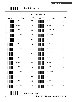

**Full ASCII Code 39 Table**

| Code 39               | <b>ASCII</b>     | Hexa-<br>code | Code 39                | <b>ASCII</b>     | Hexa-<br>code |
|-----------------------|------------------|---------------|------------------------|------------------|---------------|
|                       | Full ASCII ---<  | 3C            | <u> Hillian III</u>    | Full ASCII --- K | 4B            |
| <u> Hallin III II</u> | Full ASCII ---=  | 3D            | <b>IIII</b> IIII       | Full ASCII --- L | 4C            |
|                       | Full ASCII --->  | 3E            | <b>THE REAL</b>        | Full ASCII --- M | 4D            |
|                       | Full ASCII ---?  | 3F            | <u> III III III II</u> | Full ASCII --- N | 4E            |
| <u> Hill Hill</u>     | Full ASCII ---@  | 40            |                        | Full ASCII --- O | 4F            |
|                       | Full ASCII --- A | 41            | <b>WINDOW</b>          | Full ASCII --- P | 50            |
|                       | Full ASCII --- B | 42            |                        | Full ASCII --- Q | 51            |
|                       | Full ASCII --- C | 43            | <b>THE REAL</b>        | Full ASCII --- R | 52            |
|                       | Full ASCII --- D | 44            |                        | Full ASCII --- S | 53            |
|                       | Full ASCII --- E | 45            |                        | Full ASCII --- T | 54            |
| <b>THE TELEVISION</b> | Full ASCII --- F | 46            | <b>THE REAL</b>        | Full ASCII --- U | 55            |
| <b>THE REAL</b>       | Full ASCII --- G | 47            |                        | Full ASCII --- V | 56            |
| <b>THE REAL</b>       | Full ASCII --- H | 48            | <b>IIIIIIIIIIII</b>    | Full ASCII --- W | 57            |
|                       | Full ASCII --- I | 49            |                        | Full ASCII --- X | 58            |
| <u>Hilli illi</u>     | Full ASCII --- J | 4A            |                        | Full ASCII --- Y | 59            |

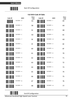

## **Full ASCII Code 39 Table**

| Code 39                       | <b>ASCII</b>     | Hexa-<br>code | Code 39                   | <b>ASCII</b>     | Hexa-<br>code |
|-------------------------------|------------------|---------------|---------------------------|------------------|---------------|
|                               | Full ASCII --- Z | 5A            |                           | Full ASCII --- i | 69            |
|                               | Full ASCII ---[  | 5B            | <u>                </u>   | Full ASCII --- j | 6A            |
|                               | Full ASCII --- \ | 5C            |                           | Full ASCII --- k | 6B            |
|                               | Full ASCII --- ] | 5D            |                           | Full ASCII --- I | 6C            |
|                               | Full ASCII --- ^ | <b>5E</b>     |                           | Full ASCII --- m | 6D            |
| <u> Hillingan k</u>           | Full ASCII ---   | 5F            | <u> Hilli Hilli Hill</u>  | Full ASCII --- n | 6E            |
|                               | Full ASCII --- ` | 60            |                           | Full ASCII --- o | 6F            |
|                               | Full ASCII --- a | 61            |                           | Full ASCII --- p | 70            |
|                               | Full ASCII --- b | 62            |                           | Full ASCII --- q | 71            |
|                               | Full ASCII --- c | 63            | <u> Harry Harry Harry</u> | Full ASCII --- r | 72            |
|                               | Full ASCII --- d | 64            |                           | Full ASCII --- s | 73            |
|                               | Full ASCII --- e | 65            |                           | Full ASCII --- t | 74            |
|                               | Full ASCII --- f | 66            |                           | Full ASCII --- u | 75            |
| <u>                      </u> | Full ASCII --- g | 67            |                           | Full ASCII --- v | 76            |
|                               | Full ASCII --- h | 68            |                           | Full ASCII --- w | 77            |